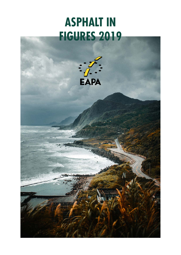# **ASPHALT IN FIGURES 2019**

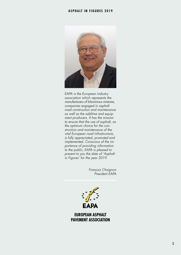#### **ASPHALT IN FIGURES 2019**



*EAPA is the European industry association which represents the manufacturers of bituminous mixtures, companies engaged in asphalt road construction and maintenance as well as the additive and equipment producers. It has the mission to ensure that the use of asphalt, as the optimum choice for the construction and maintenance of the vital European road infrastructure, is fully appreciated, promoted and implemented. Conscious of the importance of providing information to the public, EAPA is pleased to present to you the data of 'Asphalt in Figures' for the year 2019.* 

> *François Chaignon President EAPA*



**EUROPEAN ASPHALT PAVEMENT ASSOCIATION**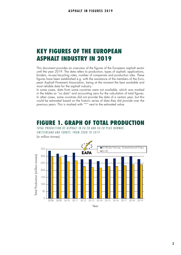#### KEY FIGURES OF THE EUROPEAN ASPHALT INDUSTRY IN 2019

This document provides an overview of the figures of the European asphalt sector until the year 2019. The data refers to production, types of asphalt, applications, binders, re-use/recycling rates, number of companies and production sites. These figures have been established e.g. with the assistance of the members of the European Asphalt Pavement Association, being at the moment the best available and most reliable data for the asphalt industry.

In some cases, data from some countries were not available, which was marked in the tables as "no data" and accounting zero for the calculation of total figures. In other cases, some countries did not provide the data of a certain year, but this could be estimated based on the historic series of data they did provide over the previous years. This is marked with "\*" next to the estimated value.

#### FIGURE 1. GRAPH OF TOTAL PRODUCTION

*T O T A L P R O D U C T I O N O F A S P H A L T I N E U - 2 8 A N D E U - 2 8 P L U S N O R W AY, SWITZERLAND AND TURKEY, FROM 2008 TO 2019* (in million tonnes)

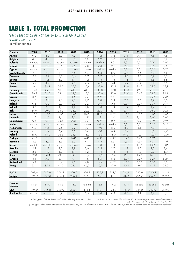## TABLE 1. TOTAL PRODUCTION

*T O T A L P R O D U C T I O N O F H O T A N D W A R M M I X A S P H A L T I N T H E P E R I O D 2 0 0 9 - 2 0 1 9*  (in million tonnes)

| Country               | 2009    | 2010    | 2011    | 2012    | 2013    | 2014    | 2015    | 2016             | 2017    | 2018    | 2019             |
|-----------------------|---------|---------|---------|---------|---------|---------|---------|------------------|---------|---------|------------------|
| Austria               | 9,0     | 8,2     | 8,0     | 7,2     | 7,0     | 7,2     | 7,2     | 7,4              | 7,4     | 7,5     | 7,5              |
| <b>Belgium</b>        | 4,7     | 4,8     | 5,9     | 5,6     | 5,3     | 5,2     | 5,0     | 5,1              | 5,6     | 5,8     | 5,2              |
| <b>Bulgaria</b>       | no data | no data | no data | no data | no data | no data | $2,0*$  | $2,0*$           | $2,0*$  | $2,0*$  | $2,0*$           |
| Croatia               | 3,2     | 2,7     | 2,6     | 2,5     | 2,8     | 2,3     | 2,2     | 2,2              | 2,2     | 2,5     | 2,6              |
| Cyprus                | no data | no data | no data | no data | no data | no data | no data | $0,2*$           | $0,2*$  | $0,2*$  | $0,2*$           |
| <b>Czech Republic</b> | 7,0     | 6,2     | 5,8     | 5,6     | 5,4     | 6,4     | 8,0     | 6,7              | 7,4     | 7,9     | 6,8              |
| <b>Denmark</b>        | 2,7     | 3,2     | 4,0     | 3,6     | 3,7     | 3,7     | 3,7     | 3,8              | 4,0     | 3,9     | 3,5              |
| Estonia               | 1,2     | 1,1     | 1,3     | 1,1     | 1,2     | 1,3     | 1,5     | 1,5              | 1,7     | 1,6     | 1,6              |
| <b>Finland</b>        | 5,2     | 4,9     | 5,0     | 4,5     | 4,5     | 4,7     | 5,4     | $\overline{5,9}$ | 6,4     | 6,1     | 5,5              |
| <b>France</b>         | 40,1    | 38,8    | 39,2    | 35,3    | 35,4    | 31,9    | 31,5    | 33,6             | 33,7    | 35,0    | 35,8             |
| <b>Germany</b>        | 55,0    | 45,0    | 50,0    | 41,0    | 41,0    | 39,0    | 39,0    | 41,0             | 42,0    | 41,0    | 40,0             |
| <b>Great Britain</b>  | 20,5    | 21,5    | 22,4    | 18,5    | 19,2    | 20,6    | 21,9    | 22,0             | 22,7    | 22,9    | $25,2^{\dagger}$ |
| Greece                | 8,7     | 5,2     | 2,3     | 1,6     | 2,7     | $2,7*$  | $2,5*$  | $2,3*$           | $2,3*$  | $2,3*$  | $2,3*$           |
| <b>Hungary</b>        | 1,6     | 3,4     | 2,3     | 2,5     | 2,7     | 3,8     | 3,9     | 2,8              | 2,6     | 4,7     | 5,0              |
| Iceland               | 0,3     | 0,2     | 0,2     | 0,2     | 0,2     | O, 3    | 0,3     | $0,3*$           | $0,3*$  | $0,3*$  | $0,3*$           |
| Ireland               | 3,3     | 2,3     | 1,8     | 1,9     | 1,8     | 1,8     | 1,9     | 1,9              | 2,0     | 1,9     | $\sqrt{2}$       |
| Italy                 | 34,9    | 29,0    | 28,0    | 23,2    | 22,3    | 22,3    | 23,1    | 23,1             | 23,7    | 26,0    | 30,1             |
| Latvia                | $0,6*$  | $0,6*$  | $0,6*$  | $0,6*$  | $0,6*$  | $0,6*$  | $0,6*$  | $0,6*$           | $0,6*$  | $0,6*$  | $0,6*$           |
| Lithuania             | 1,5     | 1,6     | 1,6     | 1,3     | $1,3*$  | $1,3*$  | 1,6     | 1,6              | $1,6*$  | $1,6*$  | $1,6*$           |
| Luxembourg            | 0,6     | 0,7     | 0,65    | 0,61    | 0,7     | $0.7*$  | 0,7     | $0.7*$           | 0,9     | $0,9*$  | $0,9*$           |
| Malta                 | no data | no data | no data | no data | no data | no data | no data | $0,1*$           | $0,1*$  | $0,1*$  | $0,1*$           |
| <b>Netherlands</b>    | 9,8     | 9,5     | 9,6     | 9,2     | 9,7     | 9,0     | 8,0     | 8,2              | 8,1     | 7,9     | 7,7              |
| Norway                | 6,5     | 5,9     | 6,7     | 6,3     | 6,4     | 7,0     | 6,9     | 7,2              | 7,8     | 7,5     | 7,7              |
| Poland                | 18,0    | 18,0    | 26,5    | 21,1    | 18,2    | 16,5    | 18,5    | $19,0*$          | $19,0*$ | $19,0*$ | $19,0*$          |
| Portugal              | $9,0*$  | 6,7     | 6,4     | $6,4*$  | $6,4*$  | $6,4*$  | $6,4*$  | $6,2*$           | $6,2*$  | $6,2*$  | 3,1              |
| Romania               | 3,6     | 3,2     | 3,6     | 3,2     | 4,1     | 4,5     | $4,5*$  | $4,5*$           | $4,5*$  | $4,5*$  | $1,7^{\ddagger}$ |
| Serbia                | no data | no data | no data | no data | no data | 1,3     | 1,3     | $1,3*$           | $1,3*$  | $1,3*$  | $1,3*$           |
| Slovakia              | 2,2     | 1,9     | 2,2     | 1,9     | 1,6     | 1,5     | 2,7     | 1,9              | 2,0     | 2,3     | 2,4              |
| Slovenia              | 2,3     | 1,8     | 1,3     | 1,1     | 1,2     | 1,4     | 1,6     | 1,6              | 1,8     | 2,0     | 1,9              |
| Spain                 | 39,0    | 34,4    | 29,3    | 19,5    | 13,2    | 14,5    | 16,4    | 13,1             | 15,2    | 16,0    | 18,8             |
| Sweden                | 8,1     | 7,9     | 8,1     | 7,7     | 7,6     | 8,5     | 8,2     | $8,2*$           | $8,2*$  | $8,2*$  | $8,2*$           |
| Switzerland           | 5,4     | 5,3     | 5,4     | 4,8     | 4,8     | 6,5     | $6,5*$  | $6,5*$           | $6,5*$  | $6,5*$  | 5,5              |
| <b>Turkey</b>         | 23,1    | 35,3    | 43,5    | 38,4    | 46,2    | 30,9    | 37,9    | 40,4             | 46,9    | 41,7    | 23,5             |
|                       |         |         |         |         |         |         |         |                  |         |         |                  |
| <b>EU-28</b>          | 291,6   | 262,6   | 268,5   | 226,7   | 219,7   | 217,7   | 228,1   | 226,8            | 233,9   | 240,5   | 241,4            |
| <b>Europe</b>         | 326,9   | 309,3   | 324,3   | 276,4   | 277,3   | 263,7   | 280,9   | 282,5            | 296,7   | 297,9   | 279,7            |
|                       |         |         |         |         |         |         |         |                  |         |         |                  |
| Ontario -<br>Canada   | $13,2*$ | 14,0    | 13,5    | 13,0    | no data | 13,8    | 14,2    | 13,3             | no data | no data | no data          |
| <b>USA</b>            | 324,0   | 326,0   | 332,0   | 326,9   | 318,1   | 319,0   | 331,0   | 340,0            | 344,0   | 353,0   | 382,0            |
| South Africa          | no data | no data | 5,7     | 5,7     | 5,5     | 5,4     | 4,8     | 4,8              | 4,1     | 4,2     | 4,1              |

*† The figures of Great Britain until 2018 refer only to Members of the Mineral Products Association. The value of 2019 is an extrapolation for the whole country. For MPA Members only, the value of 2019 is 22,7Mt"*

*‡ The figures of Romania refer only to the network of 16,000 km of national roads and 690 km of highways and do not contain data on regional and local roads*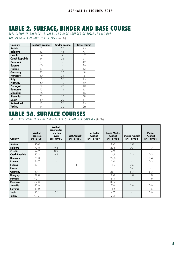#### TABLE 2. SURFACE, BINDER AND BASE COURSE

*A P P L I C A T I O N I N S U R F A C E - , B I N D E R - , A N D B A S E C O U R S E S O F T O T A L A N N U A L H O T AND WARM MIX PRODUCTION IN 2019* (in %)

| Country               | Surface course | <b>Binder course</b> | <b>Base course</b> |
|-----------------------|----------------|----------------------|--------------------|
| Austria               | 55             | 20                   | 25                 |
| <b>Belgium</b>        | 52             | 48                   | $\bigcirc$         |
| Croatia               | 64             | $\overline{4}$       | 32                 |
| <b>Czech Republic</b> | 54             | 25                   | 21                 |
| <b>Denmark</b>        | 51             | 7                    | 42                 |
| <b>Estonia</b>        | 60             | $\overline{4}$       | 36                 |
| <b>Finland</b>        | 87             | 0                    | 13                 |
| <b>Germany</b>        | 32             | 20                   | 48                 |
| <b>Hungary</b>        | 60             | 34                   | 6                  |
| <b>Italy</b>          | 55             | 30                   | 15                 |
| Norway                | 80             | 10                   | 10                 |
| Portugal              | 63             | 27                   | 10                 |
| Romania               | 73             | 4                    | 13                 |
| Slovakia              | 66             | 18                   | 16                 |
| Slovenia              | 51             | 10                   | 39                 |
| Spain                 | 69             | 20                   | 11                 |
| Switzerland           | 25             | 30                   | 45                 |
| <b>Turkey</b>         | 44             | 30                   | 26                 |

#### TABLE 3A. SURFACE COURSES

*USE OF DIFFERENT TYPES OF ASPHALT MIXES IN SURFACE COURSES* (in %)

| Country               | Asphalt<br>concrete<br>EN 13108-1 | Asphalt<br>concrete for<br>very thin<br>layers<br>EN13108-2 | Soft Asphalt<br>EN 13108-3 | <b>Hot Rolled</b><br>Asphalt<br>EN 13108-4 | <b>Stone Mastic</b><br>Asphalt<br>EN 13108-5 | <b>Mastic Asphalt</b><br>EN 13108-6 | <b>Porous</b><br>Asphalt<br>EN 13108-7 |
|-----------------------|-----------------------------------|-------------------------------------------------------------|----------------------------|--------------------------------------------|----------------------------------------------|-------------------------------------|----------------------------------------|
| Austria               | 90,0                              | $\overline{a}$                                              | ٠                          |                                            | 9,0                                          | 1,0                                 | ٠                                      |
| <b>Belgium</b>        | 73,6                              | 0,6                                                         | $\overline{\phantom{a}}$   |                                            | 23,8                                         | 0,7                                 | 1,3                                    |
| Croatia               | 94,2                              | 0,9                                                         | $\overline{\phantom{a}}$   | $\overline{a}$                             | 4,9                                          |                                     | ٠                                      |
| <b>Czech Republic</b> | 83,3                              | 0,4                                                         | $\overline{\phantom{a}}$   |                                            | 14,8                                         | 1,3                                 | 0,2                                    |
| <b>Denmark</b>        | 70,3                              | $\overline{\phantom{a}}$                                    | $\sim$                     |                                            | 29,3                                         |                                     | 0,4                                    |
| Estonia               | 96,7                              | $\overline{a}$                                              | $\sim$                     |                                            | 3,0                                          |                                     | O, 3                                   |
| Finland               | 83,4                              | $\overline{\phantom{a}}$                                    | 4,4                        | $\overline{\phantom{a}}$                   | 11,7                                         | 0,5                                 | $\overline{\phantom{a}}$               |
| <b>France</b>         | ٠                                 |                                                             | ٠                          |                                            | ÷,                                           | 0,4                                 | $\sim$                                 |
| <b>Germany</b>        | 59,4                              | $\overline{a}$                                              | ٠                          |                                            | 28,1                                         | 6,3                                 | 6,3                                    |
| <b>Hungary</b>        | 89,0                              |                                                             | $\overline{\phantom{a}}$   |                                            | 9,0                                          | 0, 1                                | 1,0                                    |
| Portugal              | 92,1                              | $\overline{\phantom{a}}$                                    | ٠                          | $\overline{a}$                             | 6,3                                          |                                     | 1,6                                    |
| Romania               | 62,3                              |                                                             | ٠                          |                                            | 37,7                                         |                                     | $\overline{\phantom{a}}$               |
| Slovakia              | 92,0                              | $\overline{\phantom{a}}$                                    | ٠                          | $\overline{\phantom{a}}$                   | 7,0                                          | 1,0                                 | O, O                                   |
| Slovenia              | 87,0                              | $\overline{\phantom{a}}$                                    | ٠                          |                                            | 11,5                                         |                                     | 1,5                                    |
| Spain                 | 81,2                              | 13,1                                                        | $\overline{\phantom{a}}$   |                                            | 4,7                                          | $\overline{\phantom{a}}$            | 1,0                                    |
| <b>Turkey</b>         | 97,7                              |                                                             | $\overline{a}$             |                                            | 2,3                                          |                                     | $\overline{\phantom{a}}$               |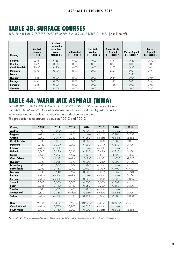### TABLE 3B. SURFACE COURSES

*APPLIED AREA OF DIFFERENT TYPES OF ASPHALT MIXES IN SURFACE COURSES* (in million m2)

| Country               | Asphalt<br>concrete<br>EN 13108-1 | Asphalt<br>concrete for<br>very thin<br>layers<br>EN13108-2 | Soft Asphalt<br>EN 13108-3 | <b>Hot Rolled</b><br>Asphalt -<br>EN 13108-4 | <b>Stone Mastic</b><br>Asphalt<br>EN 13108-5 | <b>Mastic Asphalt</b><br>EN 13108-6 | <b>Porous</b><br>Asphalt<br>EN 13108-7 |
|-----------------------|-----------------------------------|-------------------------------------------------------------|----------------------------|----------------------------------------------|----------------------------------------------|-------------------------------------|----------------------------------------|
| <b>Belgium</b>        | 22,61                             | 0.35                                                        | 0,00                       | 0.00                                         | 8,51                                         | 0.42                                | 0,52                                   |
| Croatia               | 16,70                             | 0,20                                                        | 0,00                       | 0,00                                         | 0,90                                         | 0,00                                | 0,00                                   |
| <b>Czech Republic</b> | 20,30                             | 0,20                                                        | 0,00                       | 0,00                                         | 4,70                                         | 0,30                                | 0,04                                   |
| <b>Denmark</b>        | 17,00                             | 0,00                                                        | 0,00                       | 0,00                                         | 6,50                                         | 0,00                                | 0,20                                   |
| France                | ۰                                 | $\sim$                                                      | $\sim$                     |                                              | $\overline{\phantom{a}}$                     | 3,80                                |                                        |
| Hungary               | 3,58                              | 0.00                                                        | 0,00                       | 0,00                                         | 0,44                                         | 0,04                                | 0,04                                   |
| Portugal              | 14,60                             | 0.00                                                        | 0.00                       | 0.00                                         | ,40                                          | 0.00                                | 0,50                                   |
| Romania               | 6,46                              | 0.00                                                        | 0.00                       | 0.00                                         | 4,65                                         | 0.00                                | 0,00                                   |
| Slovenia              | 11,80                             | 0,00                                                        | 0,00                       | 0,00                                         | l , 10                                       | 0,00                                | 0,20                                   |

### TABLE 4A. WARM MIX ASPHALT (WMA)

*PRODUCTION OF WARM MIX ASPHALT IN THE PERIOD 2013 - 2019* (in million tonnes) For this table Warm Mix Asphalt is defined as mixtures produced by using special techniques and/or additives to reduce the production temperature. The production temperature is between 100°C and 150°C

| Country               | 2013    | 2014    | 2015     | 2016      | 2017      | 2018     | 2019     |
|-----------------------|---------|---------|----------|-----------|-----------|----------|----------|
| Austria               | 0,000   | 0,000   | 0,000    | 0,000     | no data   | no data  | no data  |
| <b>Belgium</b>        | no data | no data | $<$ 0,05 | no data   | $<$ 0,050 | 0,100    | 0,200    |
| Croatia               | 0,000   | 0,040   | 0,060    | 0,060     | no data   | no data  | no data  |
| <b>Czech Republic</b> | 0,030   | 0,001   | 0,020    | 0,007     | 0,070     | 0,080    | 0,001    |
| <b>Denmark</b>        | 0,120   | 0,200   | 0,200    | 0,250     | 0,340     | 0,330    | 0,320    |
| Estonia               | no data | no data | 0,008    | no data   | no data   | no data  | no data  |
| <b>Finland</b>        | 0,000   | 0,120   | 0,240    | 0,310     | 0,430     | 0,310    | 0,200    |
| <b>France</b>         | 3,550   | 4,023   | 4,552    | 4,324     | 3,824     | 3,728    | 4,305    |
| <b>Great Britain</b>  | < 1,000 | < 1,000 | no data  | $<$ 0,300 | < 1,000   | < 1,000  | >1,000   |
| Hungary               | 0,020   | 0,038   | 0,070    | 0,208     | 0,210     | 0,000    | 0,180    |
| Luxemburg             | 0,000   | 0,007   | 0,007    | $0,007*$  | no data   | no data  | no data  |
| <b>Netherlands</b>    | 0,060   | 0,133   | 0,100    | $0.100*$  | 0,060     | 0,790    | $0,790*$ |
| Norway                | 0,380   | 0,540   | 0,592    | 0,502     | 0,869     | 1,339    | 1.740    |
| Portugal              | no data | no data | no data  | no data   | no data   | no data  | 0,100    |
| Slovakia              | no data | no data | 0,014    | 0,035     | 0,050     | 0,030    | 0,035    |
| Slovenia              | 0,000   | 0,000   | 0,000    | 0,000     | 0,050     | 0,002    | no data  |
| Spain                 | 0,086   | 0,140   | 0,140    | 0,060     | 0,200     | 0,180    | 0,380    |
| Sweden                | 0,500   | 0,700   | 0,700    | $0,700*$  | no data   | no data  | no data  |
| Switzerland           | 0,870   | 0,388   | no data  | no data   | no data   | no data  | 0,500    |
| Turkey                | no data | no data | 0,080    | 0,151     | 0,077     | 0,000    | 0.000    |
|                       |         |         |          |           |           |          |          |
| <b>USA</b>            | 69,000  | 103,000 | 109,000  | 106,000   | 133,000   | 143,000† | 72,000   |
| Ontario-Canada        | no data | 0,750   | 0,900    | 0,750     | no data   | no data  | no data  |
| South Africa          | 0,150   | 0,150   | 0,200    | 0,200     | no data   | no data  | no data  |

*†Of which 72,1 Mt were produced at reduced temperature and 70,9 Mt at HMA temperature but with WMA technology*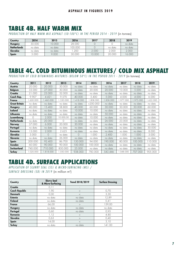## TABLE 4B. HALF WARM MIX

*PRODUCTION OF HALF WARM MIX ASPHALT (50-100ºC) IN THE PERIOD 2014 - 2019* (in tonnes)

| Country            | 2014    | 2015    | 2016    | 2017   | 2018    | 2019    |
|--------------------|---------|---------|---------|--------|---------|---------|
| Hungary            | 30.000  | 10.000  | 28.000  |        |         | no data |
| <b>Netherlands</b> | no data | no data | 100.000 |        | no data | no data |
| Slovakia           | no data | no data | .200    | 2.000  | 2.000   | 2.000   |
| Spain              | 5.000   | 9.000   | 30,000  | 10.000 | 20,000  | 6.000   |

#### TABLE 4C. COLD BITUMINOUS MIXTURES/ COLD MIX ASPHALT

*PRODUCTION OF COLD BITUMINOUS MIXTURES (BELOW 50ºC) IN THE PERIOD 2011 - 2019* (in tonnes)

| Country              | 2011     | 2012     | 2013      | 2014      | 2015        | 2016      | 2017     | 2018     | 2019     |
|----------------------|----------|----------|-----------|-----------|-------------|-----------|----------|----------|----------|
| Austria              | 20.000   | 20.000   | 30,000    | no data   | no data     | no data   | no data  | no data  | no data  |
| <b>Belgium</b>       | 33.000   | 27.000   | 30.000    | no data   | 20.000      | 20.000    | 10.000   | 5.000    | no data  |
| Croatia              | 21.000   | 23,000   | 32,000    | no data   | no data     | no data   | no data  | no data  | no data  |
| Czech Rep.           | 9.907    | 4.421    | 9.570     | 40.000    | 5.400       | 5.000     | 4.000    | 4.000    | 6.000    |
| <b>France</b>        | .600.000 | .460.000 | .550.000  | 1.418.000 | .808.000    | 1.858.000 | .977.000 | .975.000 | .622.000 |
| <b>Great Britain</b> | no data  | no data  | no data   | no data   | $<$ 200.000 | no data   | no data  | no data  | no data  |
| Hungary              | 40,000   | 15.400   | 58,800    | 40,000    | 60,000      | 30,000    | 50,000   | 50,000   | 60,000   |
| Iceland              | no data  | no data  | no data   | 10.000    | 10.000      | no data   | no data  | no data  | no data  |
| Lithuania            | no data  | no data  | no data   | no data   | no data     | 50.000    | no data  | no data  | no data  |
| Luxembourg           | 0        | 2.000    | 10.000,00 | no data   | 10.000      | no data   | no data  | no data  | no data  |
| <b>Netherlands</b>   | no data  | 20.000   | 0         | no data   | no data     | 26.000    | 23,000   | no data  | no data  |
| Norway               | 37.000   | 6.000    | 20,000    | 30.000    | no data     | no data   | no data  | no data  | no data  |
| Portugal             | no data  | no data  | no data   | no data   | no data     | no data   | no data  | no data  | 30.000   |
| Romania              | 13.000   | 2.000    | 2.625     | no data   | no data     | no data   | no data  | no data  | 8.000    |
| Slovakia             | 3.000    | 0        | no data   | $\bigcap$ | 1.000       | 2.400     | 1.000    | 1.000    | 3.000    |
| Slovenia             | no data  | no data  | 26,000    | no data   | no data     | no data   | no data  | no data  | no data  |
| Spain                | 200.000  | 92.400   | 86,700    | 150.000   | 94.000      | 190.000   | 80,000   | 100.000  | 110.000  |
| Sweden               | 60.000   | 90.000   | 90.000    | 100.000   | 100.000     | no data   | no data  | no data  | no data  |
| Switzerland          | 740.000  | 710.000  | 830.000   | 25.000    | no data     | no data   | no data  | no data  | no data  |
| <b>Turkey</b>        | .020.000 | .818.000 | 1.050.000 | 938.000   | 783.000     | 543.446   | .048.000 | 707.000  | 905.000  |

## TABLE 4D. SURFACE APPLICATIONS

*A P P LI CATION OF SLURRY SEAL (SS) & MICRO-SURFACING (MS) / SURFACE DRESSING (SD) IN 2019* (in million m2)

| Country               | <b>Slurry Seal</b><br>& Micro-Surfacing | Trend 2018/2019 | <b>Surface Dressing</b> |
|-----------------------|-----------------------------------------|-----------------|-------------------------|
| Croatia               | 0,11                                    |                 | $\overline{a}$          |
| <b>Czech Republic</b> | 1,90                                    | $\geq$          | 0,70                    |
| <b>Denmark</b>        | 0,00                                    | $\,<\,$         | 3,30                    |
| <b>Estonia</b>        | no data                                 | no data         | 12,89                   |
| <b>Finland</b>        | no data                                 | no data         | 0,41                    |
| <b>France</b>         | 66,00                                   | >               | 139,00                  |
| <b>Hungary</b>        | no data                                 | no data         | no data                 |
| Portugal              | 0,60                                    | no data         | 0,95                    |
| Romania               | 1,12                                    | >               | 4,80                    |
| Slovakia              | 0,63                                    | $\,>$           | 0,40                    |
| Spain                 | 14,00                                   | $\,<$           | 3,10                    |
| <b>Turkey</b>         | no data                                 | no data         | 141.00                  |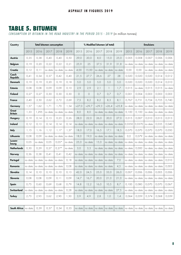#### TABLE 5. BITUMEN

*CONSUMPTION OF BITUMEN IN THE ROAD INDUSTRY IN THE PERIOD 2015 - 2019* (in million tonnes)

| Country                        |         | <b>Total bitumen consumption</b> |         |         |         |         | % Modified bitumen (of total) |                       |                          |         | <b>Emulsions</b> |         |                                                 |         |         |
|--------------------------------|---------|----------------------------------|---------|---------|---------|---------|-------------------------------|-----------------------|--------------------------|---------|------------------|---------|-------------------------------------------------|---------|---------|
|                                | 2015    | 2016                             | 2017    | 2018    | 2019    | 2015    | 2016                          | 2017                  | 2018                     | 2019    | 2015             | 2016    | 2017                                            | 2018    | 2019    |
| Austria                        | 0,35    | 0,38                             | 0,40    | 0,40    | 0,50    | 29,0    | 20,0                          | 8,0                   | 15,0                     | 25,0    | 0,005            | 0,008   | 0,007                                           | 0,006   | 0,006   |
| <b>Belgium</b>                 | 0,19    | 0,20                             | 0,22    | 0,22    | 0,21    | 25,9    | 25                            | 37,5                  | 31,9                     | 31,8    | no data          | no data | no data                                         | no data | no data |
| Croatia                        | 0,12    | 0,11                             | no data | no data | no data | 4,00    | 15,00                         | no data               | no data                  | no data | 0,00             | 0,00    | no data                                         | no data | no data |
| Czech<br>Republic              | 0,41    | 0,34                             | 0,37    | 0,42    | 0,40    | 21,5    | 27,7                          | 26,6                  | 27                       | 28      | 0,020            | 0,020   | 0,020                                           | 0,014   | 0,012   |
| <b>Denmark</b>                 | 0,19    | 0,19                             | 0,20    | 0.19    | 0,18    | 5,0     | 5,0                           | 5,0                   | 5,0                      | 5,0     | 0,020            | 0,020   | 0,020                                           | 0,014   | 0,010   |
| Estonia                        | 0,08    | 0,08                             | 0,09    | 0,09    | 0,10    | 2,9     | 2,9                           | 2,1                   | $\overline{\phantom{a}}$ | 1,7     | 0,015            | no data | 0,015                                           | 0,015   | no data |
| Finland                        | 0,27    | 0,27                             | 0,30    | 0,30    | 0,30    | $\circ$ | 0                             | 0,7                   | 0,7                      | 0,7     | 0,001            | 0,004   | 0,003                                           | 0,003   | 0,003   |
| <b>France</b>                  | 2,40    | 2,50                             | 2,62    | 2,72    | 2,69    | 7,5     | 8,2                           | 8,2                   | 8,3                      | 8,1     | 0,767            | 0,731   | 0,724                                           | 0,725   | 0,740   |
| Germany                        | 1,57    | 1,62                             | 1,71    | 1,70    | 1,54    | >27,0   | >29,7                         | >29,3                 | >26,4                    | >25,8   | no data          | no data | no data                                         | no data | no data |
| <b>Great</b><br><b>Britain</b> | 1,33    | 1,295                            | no data | no data | no data | 8,0     | 8,0                           | no data               | no data                  | no data | 0,100            | 0,100   | no data                                         | no data | no data |
| Hungary                        | 0,19    | 0,14                             | 0.13    | 0,23    | 0,26    | 28,0    | 22,0                          | 26,0                  | 20,0                     | 27,0    | 0.015            | 0,007   | 0,010                                           | 0,013   | 0,013   |
| <b>Ireland</b>                 | 0,12    | 0,13                             | 0.14    | 0,14    | 0,14    | no data | no data                       | no data               | no data                  | no data | 0,0350           | 0,0370  | no data                                         | 0,035   | 0,040   |
| <b>Italy</b>                   | 1,15    | 1.16                             | 1,12    | 1,17    | 1,37    | 18,0    | 17,0                          | 16,5                  | 17,1                     | 18,5    | 0,070            | 0,070   | 0,070                                           | 0,070   | 0,050   |
| Lithuania                      | 0,08    | 0,09                             | no data | no data | no data | 18,0    | 19,0                          | no data               | no data                  | no data | 0,0              | 0,079   | no data                                         | no data | no data |
| Luxem-<br>bourg                | 0,05    | no data                          | 0,05    | $0,05*$ | no data | 25,0    | no data                       | 15,0                  | no data                  | no data | no data          | no data | no data                                         | no data | no data |
| <b>Netherlands</b>             | 0,30    | 0,29                             | 0,27    | $0,27*$ | no data | 3,0     | 3,3                           | no data               | no data                  | no data | no data          | 0,000   | no data                                         | no data | no data |
| Norway                         | 0,36    | 0,38                             | 0,41    | 0,41    | 0,42    | no data | no data                       | no data               | no data                  | no data | no data          | no data | no data                                         | no data | no data |
| Portugal                       | no data | no data                          | no data | no data | 0,18    | no data | no data                       | no data               | no data                  | 7,0     | no data          | no data | no data                                         | no data | 0,010   |
| Romania                        | no data | no data                          | no data | no data | 0,08    | no data | no data                       | no data               | no data                  | 4,5     | no data          | no data | no data                                         | no data | 0,003   |
| Slovakia                       | 0.14    | 0,10                             | 0,10    | 0,10    | 0,13    | 42,0    | 24,5                          | 25,0                  | 33,0                     | 26,0    | 0,007            | 0,006   | 0.006                                           | 0,005   | 0,006   |
| Slovenia                       | 0,08    | 0,08                             | 0,09    | 0,11    | 0,09    | 14,7    | 16,7                          | 20,0                  | 21,0                     | 21,0    |                  |         | no data   no data   no data   no data   no data |         |         |
| Spain                          | 0,75    | 0,60                             | 0,69    | 0,68    | 0,79    | 14,8    | 12,2                          | 16,0                  | 10,5                     | 8,7     | 0,100            | 0,080   | 0,070                                           | 0,070   | 0,067   |
| Switzerland                    | no data | no data                          | no data | no data | 0,28    | no data | no data                       | $\frac{1}{2}$ no data | no data                  | 27,5    | no data          |         | no data   no data                               | no data | no data |
| <b>Turkey</b>                  | 2,73    | 2,93                             | 3,62    | 2,90    | 1,50    | 3,9     | 4,9                           | 2,8                   | 1,0                      | 1,4     | 0,064            | 0,059   | 0,374                                           | 0,068   | 0,039   |

| $\sim$ $\rightarrow$<br>-30<br>J.34<br>South Africa<br>i no data I no data '<br>data<br>\ <i>J</i> .\J<br>v.v | u no data i<br>no data<br>u I no data I no data I no data I<br>l no data<br>no data<br>no<br>data |
|---------------------------------------------------------------------------------------------------------------|---------------------------------------------------------------------------------------------------|
|---------------------------------------------------------------------------------------------------------------|---------------------------------------------------------------------------------------------------|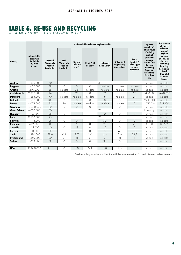### TABLE 6. RE-USE AND RECYCLING

*R E - U S E A N D R E C Y C L I N G O F R E C L A I M E D A S P H A L T I N 2 0 1 9* 

|                       |                                                               |                                                     |                                                         |                                | % of available reclaimed asphalt used in |                                      |                                                          |                                                                    | <b>Applied</b><br>area in m2                                                                                                                                         | The amount<br>of "only"                                                                                                                                           |
|-----------------------|---------------------------------------------------------------|-----------------------------------------------------|---------------------------------------------------------|--------------------------------|------------------------------------------|--------------------------------------|----------------------------------------------------------|--------------------------------------------------------------------|----------------------------------------------------------------------------------------------------------------------------------------------------------------------|-------------------------------------------------------------------------------------------------------------------------------------------------------------------|
| Country               | All available<br>Reclaimed<br>Asphalt in<br>2019 in<br>tonnes | Hot and<br><b>Warm Mix</b><br>Asphalt<br>Production | Half<br><b>Warm Mix</b><br>Asphalt<br><b>Production</b> | On-Site<br>Cold Re-<br>$use**$ | <b>Plant Cold</b><br>Re-use**            | <b>Unbound</b><br><b>Road Layers</b> | <b>Other Civil</b><br>Engineering<br><b>Applications</b> | Put to<br>Landfill /<br>Other Appli-<br>cations/<br><b>Unknown</b> | of hot reuse<br>of existing<br>asphalt<br>pavement<br>material<br>$in$ -situ / on<br>the road<br>(Remixing,<br>Repaving,<br>Reshaping,<br><b>Road Train</b><br>etc.) | reheated<br>(reused)<br>asphalt<br>material<br>$in$ -situ / on<br>the road<br>(Remixing,<br>Repaving,<br>Reshaping,<br>Road<br>Train etc.)<br>in metric<br>tonnes |
| Austria               | 1.800.000                                                     | 70                                                  |                                                         |                                |                                          | 30                                   |                                                          |                                                                    | no data                                                                                                                                                              | no data                                                                                                                                                           |
| <b>Belgium</b>        | 1.637.000                                                     | 79                                                  | $\Omega$                                                | $\circ$                        | $\Omega$                                 | no data                              | no data                                                  | no data                                                            | no data                                                                                                                                                              | no data                                                                                                                                                           |
| Croatia               | 210.000                                                       | 35                                                  | no data                                                 | 2,5                            | no data                                  | no data                              | no data                                                  | no data                                                            | no data                                                                                                                                                              | no data                                                                                                                                                           |
| <b>Czech Republic</b> | 2.800.000                                                     | 14                                                  | $\Omega$                                                | 25                             | $\bigcirc$                               | 25                                   | 10                                                       | 26                                                                 | >400.000                                                                                                                                                             | >420.000                                                                                                                                                          |
| <b>Denmark</b>        | .255.000                                                      | 70                                                  | no data                                                 | no data                        | no data                                  | 6                                    | no data                                                  | 24                                                                 | no data                                                                                                                                                              | no data                                                                                                                                                           |
| <b>Finland</b>        | 1.500.000                                                     | 100                                                 | $\bigcirc$                                              | $\circ$                        | $\bigcirc$                               | $\Omega$                             | $\bigcirc$                                               | $\circ$                                                            | 9.700.000                                                                                                                                                            | no data                                                                                                                                                           |
| <b>France</b>         | 8.074.000                                                     | 75                                                  | 10                                                      | no data                        | no data                                  | no data                              | no data                                                  | $\circ$                                                            | 1.750.000                                                                                                                                                            | 318200                                                                                                                                                            |
| Germany               | 13,400,000                                                    | 82                                                  | $\bigcirc$                                              | $\Omega$                       | $\Omega$                                 | 18                                   | $\Omega$                                                 | $\circ$                                                            | no data                                                                                                                                                              | no data                                                                                                                                                           |
| <b>Great Britain</b>  | 6.050.000                                                     | 30                                                  |                                                         |                                |                                          | 70                                   |                                                          |                                                                    | Increasing                                                                                                                                                           | no data                                                                                                                                                           |
| Hungary               | 105.000                                                       | 98                                                  | $\bigcirc$                                              |                                |                                          | $\circ$                              | $\Omega$                                                 | $\Omega$                                                           | no data                                                                                                                                                              | no data                                                                                                                                                           |
| <b>Italy</b>          | 9.500.000                                                     | 25                                                  |                                                         |                                |                                          | 75                                   |                                                          |                                                                    | no data                                                                                                                                                              | no data                                                                                                                                                           |
| Norway                | 1.173.000                                                     | 28                                                  | $\circ$                                                 | $\circ$                        |                                          | 70                                   | $\circ$                                                  | $\circ$                                                            | no data                                                                                                                                                              | no data                                                                                                                                                           |
| Romania               | 612.500                                                       | $\circ$                                             | $\bigcirc$                                              | 5                              | $\Omega$                                 | 20                                   | $\Omega$                                                 | 75                                                                 | 285.000                                                                                                                                                              | 30.625                                                                                                                                                            |
| Slovakia              | 165.600                                                       | 40                                                  | $\circ$                                                 | 48                             | $\Omega$                                 | 12                                   | $\Omega$                                                 | $\Omega$                                                           | no data                                                                                                                                                              | no data                                                                                                                                                           |
| Slovenia              | 150,000                                                       | 23                                                  | $\bigcirc$                                              | 10                             | $\bigcirc$                               | 5                                    | 47                                                       | 1.5                                                                | no data                                                                                                                                                              | no data                                                                                                                                                           |
| Spain                 | .486.000                                                      | 59,6                                                | O, I                                                    | 8,7                            | 1,0                                      | 6,3                                  | 0,0                                                      | 24,3                                                               | no data                                                                                                                                                              | no data                                                                                                                                                           |
| Switzerland           | .650.000                                                      | 90                                                  | $\lt$                                                   | $\langle$ ]                    | $\leq$                                   | 7                                    | $\lt$                                                    |                                                                    | no data                                                                                                                                                              | no data                                                                                                                                                           |
| <b>Turkey</b>         | 1.038.000                                                     | $\circ$                                             | $\bigcirc$                                              | $\bigcirc$                     | $\bigcirc$                               | 91                                   | $\bigcirc$                                               | $\Omega$                                                           | no data                                                                                                                                                              | no data                                                                                                                                                           |
|                       |                                                               |                                                     |                                                         |                                |                                          |                                      |                                                          |                                                                    |                                                                                                                                                                      |                                                                                                                                                                   |
| <b>USA</b>            | 88,000,000                                                    | 94,1                                                | $\bigcirc$                                              | 0,0                            | 0,3                                      | 4,0                                  | 1,5                                                      | $\circ$                                                            | no data                                                                                                                                                              | no data                                                                                                                                                           |

\*\* Cold recycling includes stabilisation with bitumen emulsion, foamed bitumen and/or cement.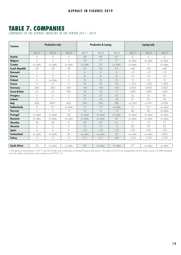#### **ASPHALT IN FIGURES 2019**

#### TABLE 7. COMPANIES

*COMPANIES IN THE ASPHALT INDUSTRY IN THE PERIOD 2017 - 2019*

| Country               |                | <b>Production only</b> |                |         | <b>Production &amp; Laying</b> |         |            | Laying only |            |
|-----------------------|----------------|------------------------|----------------|---------|--------------------------------|---------|------------|-------------|------------|
|                       | 2017           | 2018                   | 2019           | 2017    | 2018                           | 2019    | 2017       | 2018        | 2019       |
| Austria               | 0              | $\circ$                | $\bigcirc$     | 68      | 68                             | 67      | $\bigcirc$ | $\bigcirc$  | $\bigcirc$ |
| <b>Belgium</b>        | 3              | 3                      | 3              | 18      | 17                             | 17      | no data    | no data     | no data    |
| Croatia               | no data        | no data                | no data        | no data | 52                             | no data | no data    | 9           | no data    |
| <b>Czech Republic</b> | 26             | 28                     | 28             | 23      | 24                             | 25      | >40        | >40         | >40        |
| <b>Denmark</b>        |                |                        |                | 6       | 6                              | 6       | ~10        | $\sim$ 10   | $\sim$ 10  |
| Estonia               | $\overline{2}$ | $\overline{2}$         | $\overline{2}$ | 8       | 8                              | 8       | 18         | 14          | 16         |
| <b>Finland</b>        | $\Omega$       | no data                | $\Omega$       | 10      | 10                             | 10      | 15         | 1.5         | 1.5        |
| <b>France</b>         | $\Omega$       | $\circ$                | $\Omega$       | 30      | 30                             | 30      | 1.353      | 1.342       | 1.383      |
| Germany               | 260            | 260                    | 260            | 1.50    | 1.50                           | 150     | 3.000      | 3.000       | 3.000      |
| <b>Great Britain</b>  | 23             | 23                     | 38+            | 18      | 18                             | 17      | >200       | >200        | >200       |
| Hungary               | $\overline{2}$ | $\overline{2}$         | $\mathcal{P}$  | 33      | 33                             | 33      | 32         | 35          | 45         |
| <b>Ireland</b>        | 3              |                        |                | 17      | 18                             | 18      | 27         | 32          | 30         |
| Italy                 | 400            | $400*$                 | 400            | 390     | 390                            | 380     | >2.500     | $>2.500*$   | >2500      |
| <b>Netherlands</b>    | $\Omega$       | $O^*$                  | no data        | 17      | $17*$                          | no data | 15         | $1.5*$      | no data    |
| Norway                | 3              | 3                      | 3              | 13      | 12                             | 12      | 40         | 40          | no data    |
| Portugal              | no data        | no data                | 64             | no data | no data                        | no data | no data    | no data     | no data    |
| Romania               | no data        | no data                | no data        | no data | no data                        | 45      | no data    | no data     | no data    |
| Slovakia              | 50             | 20                     | $\Omega$       | 50      | 20                             | 21      | 3          | 15          | 15         |
| Slovenia              | $\overline{2}$ | $\overline{2}$         | 3              | 13      | 13                             | 13      | 50         | 55          | 45         |
| Spain                 | 6              | 6                      | 6              | 125     | 125                            | 125     | 1.50       | 1.50        | 1.50       |
| Switzerland           | no data        | no data                | 45             | no data | no data                        | 25      | no data    | no data     | >400       |
| <b>Turkey</b>         | 11             | 11                     | $\lceil$       | 312     | 312                            | 349     | >100       | >100        | >100       |
|                       |                |                        |                |         |                                |         |            |             |            |
| South Africa          | 30             | no data                | no data        | 26      | no data                        | no data | 37         | no data     | no data    |

*† The figures of Great Britain in 2017 and 2018 refer only to Members of Mineral Products Association. The value of 2019 is an extrapolation for the whole country. For MPA Members only, the number of production-only companies of 2019 is 21*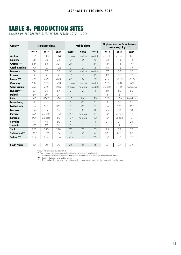### TABLE 8. PRODUCTION SITES

*NUMBER OF PRODUCTION SITES IN THE PERIOD 2017 – 2019*

| Country                  | <b>Stationary Plants</b> |         |         | Mobile plants  |                          |                | All plants that are fit for hot and<br>warm recycling**** |         |                |
|--------------------------|--------------------------|---------|---------|----------------|--------------------------|----------------|-----------------------------------------------------------|---------|----------------|
|                          | 2017                     | 2018    | 2019    | 2017           | 2018                     | 2019           | 2017                                                      | 2018    | 2019           |
| Austria                  | 115                      | 115     | 114     | no data        | no data                  | no data        | no data                                                   | no data | 85             |
| <b>Belgium</b>           | 38                       | 36      | 36      | $\Omega$       | $\Omega$                 | $\Omega$       | 32                                                        | 15      | 1.5            |
| Croatia <sup>***</sup>   | $53*$                    | 53      | $53*$   | $2*$           |                          | $\vert *$      | $14*$                                                     | 14      | $14*$          |
| <b>Czech Republic</b>    | 104                      | 103     | 102     | $\mathcal{P}$  | $\mathfrak{D}$           | $\mathfrak{D}$ | 75                                                        | 76      | 77             |
| <b>Denmark</b>           | 39                       | 37      | 37      | $O^*$          | no data                  | no data        | 37                                                        | 35      | 36             |
| <b>Estonia</b>           | 5                        | $\circ$ | $\circ$ | 16             | 12                       | 13             | 12                                                        | 16      | 16             |
| France ***               | 423                      | 423     | 423     | 46             | 37                       | 39             | >350                                                      | >350    | >370           |
| <b>Germany</b>           | 589                      | 585     | 553     | no data        | no data                  | no data        | 580                                                       | 580     | 549            |
| <b>Great Britain ***</b> | 250                      | 245     | 256     | no data        | no data                  | no data        | no data                                                   | >165    | Increasing     |
| Hungary ***              | 83                       | 84      | 87      | $\mathfrak{D}$ | $\mathcal{P}$            | 3              | 50                                                        | 50      | 50             |
| <b>Ireland</b>           | 39                       | 39      | 39      |                | $\mathbf{1}$             | $\mathbb{I}$   | $\overline{\mathcal{A}}$                                  | 5       | $\overline{7}$ |
| <b>Italy</b>             | 400                      | $400*$  | 380     | 10             | $10*$                    | 20             | 360                                                       | 380     | No data        |
| Luxembourg               | $\Delta$                 | $4*$    | $4*$    | $\Omega$       | $()^*$                   | $()^*$         | 3                                                         | $3*$    | $3*$           |
| <b>Netherlands</b>       | 36                       | $36*$   | $36*$   | $\Omega$       | $()^*$                   | $()^*$         | 36                                                        | $36*$   | $36*$          |
| Norway                   | 84                       | 85      | 85      | 8              | 8                        | 8              | 25                                                        | 30      | 64             |
| Portugal                 | $25*$                    | no data | 103     | $25*$          | no data                  | 14             | $1.5*$                                                    | no data | 48             |
| Romania                  | $50*$                    | no data | 80      | $10*$          | no data                  | 10             | $10*$                                                     | no data | $\bigcirc$     |
| Slovakia                 | 44                       | 44      | 50      | $\overline{4}$ | $\overline{\mathcal{A}}$ | $\overline{4}$ | 21                                                        | 21      | 21             |
| Slovenia                 | 17                       | 17      | 16      |                |                          | $\overline{2}$ | $\mathbb{I}$                                              |         | 6              |
| Spain                    | 220                      | 220     | 220     | 70             | 70                       | 70             | 25                                                        | 25      | 25             |
| Switzerland **           | $142*$                   | $142*$  | 144     | $5*$           | $.5*$                    | 6              | 80*                                                       | $80*$   | 80             |
| Turkey ***               | 119                      | 214     | 136     | 535            | 556                      | 527            | $1.5*$                                                    | $1.5*$  | $1.5*$         |
|                          |                          |         |         |                |                          |                |                                                           |         |                |
| South Africa             | 30                       | 30      | 30      | 26             | 26                       | 26             | 37                                                        | 37      | 37             |

\* Figure not provided but estimated<br>\*\* One or more plants are operated and owned by the road administration<br>\*\*\* One or more plants are operated and owned by the road administration and/or municipalities<br>\*\*\*\* Total of stati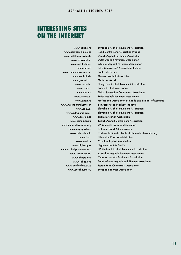#### INTERESTING SITES ON THE INTERNET

[www.eapa.org](http://www.eapa.org/) [www.sdruzeni-silnice.cz](http://www.sdruzeni-silnice.cz/) [www.asfaltindustrien.dk](http://www.asfaltindustrien.dk/) [www.vbwasfalt.nl](http://www.vbwasfalt.nl/) [www.asfaldiliit.ee](http://www.asfaldiliit.ee/) [www.infra.fi](http:/www.infra.fi) [www.routesdefrance.com](http://www.routesdefrance.com) [www.asphalt.de](http://www.asphalt.de/) [www.gestrata.at](http://www.gestrata.at/) [www.hapa.hu](http://www.hapa.hu/) [www.siteb.it](http://www.siteb.it/) [www.eba.no](http://www.eba.no) [www.pswna.pl](http://www.pswna.pl/) [www.apdp.ro](http://www.apdp.ro/) [www.mischgut-industrie.ch](http://www.mischgut-industrie.ch/) [www.saav.sk](http://www.saav.sk/) [www.zdruzenje-zas.si](http://www.zdruzenje-zas.si/) [www.asefma.es](http://www.asefma.es/) [www.asmud.org.tr](http://www.asmud.org.tr/) [www.mineralproducts.org](http://www.mineralproducts.org) [www.vegagerdin.is](http://www.vegagerdin.is/)  [www.pch.public.lu](http://www.pch.public.lu/) [www.Ira.lt](http://www.ira.lt/) [www.h-a-d.hr](http://www.h-r-d.hr/) [www.highway.rs](http://www.highways.rs/) [www.asphaltpavement.org](http://www.asphaltpavement.org/) [www.aapa.asn.au](http://www.aapa.asn.au) [www.ohmpa.org](http://www.onasphalt.org) [www.sabita.org](https://www.sabita.co.za) [www.dohkenkyo.or.jp](http://www.dohkenkyo.or.jp/) [www.eurobitume.eu](http://www.eurobitume.eu/)

European Asphalt Pavement Association Road Contractors Association Prague Danish Asphalt Pavement Association Dutch Asphalt Pavement Association Estonian Asphalt Pavement Association Infra Contractors' Association, Finland Routes de France German Asphalt Association Gestrata, Austria Hungarian Asphalt Pavement Association Italian Asphalt Association EBA - Norwegian Contractors Association Polish Asphalt Pavement Association Professional Association of Roads and Bridges of Romania Schweizerische Mischgut-Industrie Slovakian Asphalt Pavement Association Slovenian Asphalt Pavement Association Spanish Asphalt Association Turkish Asphalt Contractors Association UK Minerals Products Association Icelandic Road Administration L'administration des Ponts et Chaussées Luxembourg Lithuanian Road Administration Croatian Asphalt Association Highway Institute Serbia US National Asphalt Pavement Association Australian Asphalt Pavement Association Ontario Hot Mix Producers Association South African Asphalt and Bitumen Association Japan Road Contractors Association European Bitumen Association